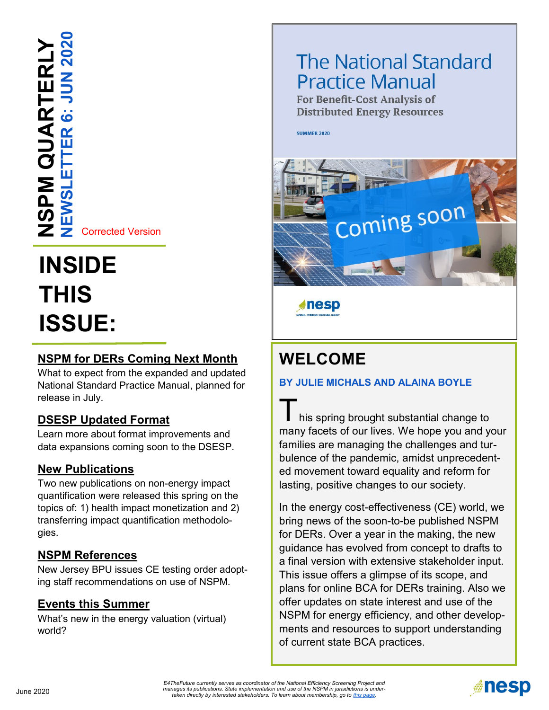**NEWSLETTER 6: JUN 2020 NSPM QUARTERLY JSPM QUARTERLY** .<br>ق  $\alpha$ 冚 ш

Corrected Version

# **INSIDE THIS ISSUE:**

## **[NSPM for DERs Coming Next Month](#page-1-0)**

What to expect from the expanded and updated National Standard Practice Manual, planned for release in July.

### **[DSESP Updated Format](#page-2-0)**

Learn more about format improvements and data expansions coming soon to the DSESP.

### **[New Publications](#page-2-0)**

Two new publications on non-energy impact quantification were released this spring on the topics of: 1) health impact monetization and 2) transferring impact quantification methodologies.

### **[NSPM References](#page-3-0)**

New Jersey BPU issues CE testing order adopting staff recommendations on use of NSPM.

### **[Events this Summer](#page-3-0)**

What's new in the energy valuation (virtual) world?

## **The National Standard Practice Manual**

**For Benefit-Cost Analysis of Distributed Energy Resources** 

**SUMMER 2020** 



**desp** 

## **WELCOME**

### **BY JULIE MICHALS AND ALAINA BOYLE**

his spring brought substantial change to many facets of our lives. We hope you and your families are managing the challenges and turbulence of the pandemic, amidst unprecedented movement toward equality and reform for lasting, positive changes to our society.

In the energy cost-effectiveness (CE) world, we bring news of the soon-to-be published NSPM for DERs. Over a year in the making, the new guidance has evolved from concept to drafts to a final version with extensive stakeholder input. This issue offers a glimpse of its scope, and plans for online BCA for DERs training. Also we offer updates on state interest and use of the NSPM for energy efficiency, and other developments and resources to support understanding of current state BCA practices.

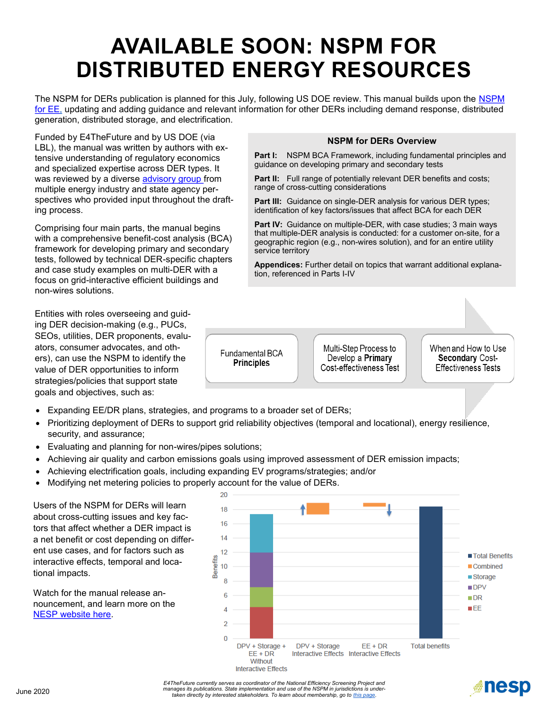## <span id="page-1-0"></span>**AVAILABLE SOON: NSPM FOR DISTRIBUTED ENERGY RESOURCES**

The NSPM for DERs publication is planned for this July, following US DOE review. This manual builds upon the [NSPM](https://nationalefficiencyscreening.org/the-national-standard-practice-manual-for-energy-efficiency/)  [for EE,](https://nationalefficiencyscreening.org/the-national-standard-practice-manual-for-energy-efficiency/) updating and adding guidance and relevant information for other DERs including demand response, distributed generation, distributed storage, and electrification.

Funded by E4TheFuture and by US DOE (via LBL), the manual was written by authors with extensive understanding of regulatory economics and specialized expertise across DER types. It was reviewed by a diverse [advisory group f](https://nationalefficiencyscreening.org/home/advisory-group/)rom multiple energy industry and state agency perspectives who provided input throughout the drafting process.

Comprising four main parts, the manual begins with a comprehensive benefit-cost analysis (BCA) framework for developing primary and secondary tests, followed by technical DER-specific chapters and case study examples on multi-DER with a focus on grid-interactive efficient buildings and non-wires solutions.

Entities with roles overseeing and guiding DER decision-making (e.g., PUCs, SEOs, utilities, DER proponents, evaluators, consumer advocates, and others), can use the NSPM to identify the value of DER opportunities to inform strategies/policies that support state goals and objectives, such as:

- Expanding EE/DR plans, strategies, and programs to a broader set of DERs;
- Prioritizing deployment of DERs to support grid reliability objectives (temporal and locational), energy resilience, security, and assurance;
- Evaluating and planning for non-wires/pipes solutions;
- Achieving air quality and carbon emissions goals using improved assessment of DER emission impacts;
- Achieving electrification goals, including expanding EV programs/strategies; and/or
- Modifying net metering policies to properly account for the value of DERs.

Users of the NSPM for DERs will learn about cross-cutting issues and key factors that affect whether a DER impact is a net benefit or cost depending on different use cases, and for factors such as interactive effects, temporal and locational impacts.

Watch for the manual release announcement, and learn more on the [NESP website here.](https://nationalefficiencyscreening.org/the-national-standard-practice-manual-for-ders/)



**MILESP** 

#### **NSPM for DERs Overview**

**Part I:** NSPM BCA Framework, including fundamental principles and guidance on developing primary and secondary tests

**Part II:** Full range of potentially relevant DER benefits and costs; range of cross-cutting considerations

**Part III:** Guidance on single-DER analysis for various DER types; identification of key factors/issues that affect BCA for each DER

**Part IV:** Guidance on multiple-DER, with case studies; 3 main ways that multiple-DER analysis is conducted: for a customer on-site, for a geographic region (e.g., non-wires solution), and for an entire utility service territory

**Appendices:** Further detail on topics that warrant additional explanation, referenced in Parts I-IV

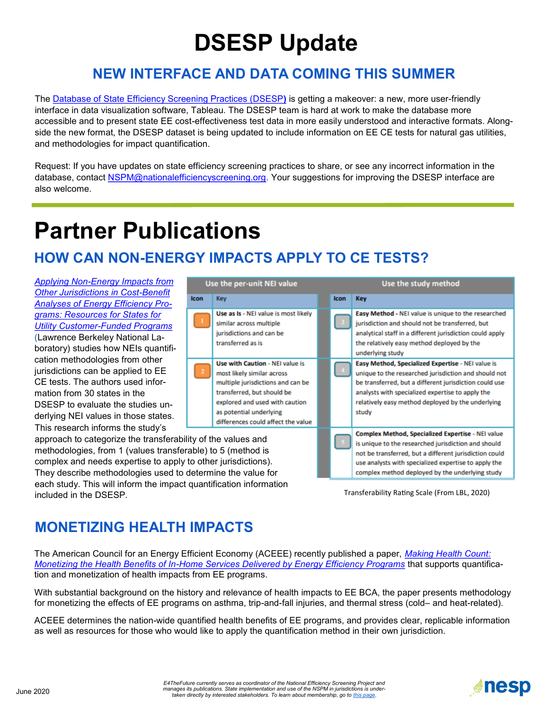# **DSESP Update**

## **NEW INTERFACE AND DATA COMING THIS SUMMER**

<span id="page-2-0"></span>The [Database of State Efficiency Screening Practices \(DSESP](https://nationalefficiencyscreening.org/state-database-dsesp/)**)** is getting a makeover: a new, more user-friendly interface in data visualization software, Tableau. The DSESP team is hard at work to make the database more accessible and to present state EE cost-effectiveness test data in more easily understood and interactive formats. Alongside the new format, the DSESP dataset is being updated to include information on EE CE tests for natural gas utilities, and methodologies for impact quantification.

Request: If you have updates on state efficiency screening practices to share, or see any incorrect information in the database, contact **NSPM@nationalefficiencyscreening.org**. Your suggestions for improving the DSESP interface are also welcome.

## **Partner Publications**

## **HOW CAN NON-ENERGY IMPACTS APPLY TO CE TESTS?**

**Icon** 

*Applying Non-[Energy Impacts from](https://emp.lbl.gov/publications/applying-non-energy-impacts-other)  [Other Jurisdictions in Cost](https://emp.lbl.gov/publications/applying-non-energy-impacts-other)-Benefit [Analyses of Energy Efficiency Pro](https://emp.lbl.gov/publications/applying-non-energy-impacts-other)[grams: Resources for States for](https://emp.lbl.gov/publications/applying-non-energy-impacts-other)  Utility Customer-[Funded Programs](https://emp.lbl.gov/publications/applying-non-energy-impacts-other)* (Lawrence Berkeley National Laboratory) studies how NEIs quantification methodologies from other jurisdictions can be applied to EE CE tests. The authors used information from 30 states in the DSESP to evaluate the studies underlying NEI values in those states. This research informs the study's

approach to categorize the transferability of methodologies, from 1 (values transferable) complex and needs expertise to apply to other integrations. They describe methodologies used to determine the value for each study. This will inform the impact quantification information included in the DSESP.

| Jse the per-unit NEI value                               |                                                                                                                                                                                                                                     |  | Use the study method |                                                                                                                                                                                                                                                                                       |
|----------------------------------------------------------|-------------------------------------------------------------------------------------------------------------------------------------------------------------------------------------------------------------------------------------|--|----------------------|---------------------------------------------------------------------------------------------------------------------------------------------------------------------------------------------------------------------------------------------------------------------------------------|
|                                                          | <b>Kev</b>                                                                                                                                                                                                                          |  | <b>Icon</b>          | <b>Key</b>                                                                                                                                                                                                                                                                            |
|                                                          | Use as Is - NEI value is most likely<br>similar across multiple<br>jurisdictions and can be<br>transferred as is                                                                                                                    |  |                      | Easy Method - NEI value is unique to the researched<br>jurisdiction and should not be transferred, but<br>analytical staff in a different jurisdiction could apply<br>the relatively easy method deployed by the<br>underlying study                                                  |
|                                                          | Use with Caution - NEI value is<br>most likely similar across<br>multiple jurisdictions and can be<br>transferred, but should be<br>explored and used with caution<br>as potential underlying<br>differences could affect the value |  |                      | Easy Method, Specialized Expertise - NEI value is<br>unique to the researched jurisdiction and should not<br>be transferred, but a different jurisdiction could use<br>analysts with specialized expertise to apply the<br>relatively easy method deployed by the underlying<br>study |
| the values and<br>to 5 (method is<br>ıer jurisdictions). |                                                                                                                                                                                                                                     |  |                      | Complex Method, Specialized Expertise - NEI value<br>is unique to the researched jurisdiction and should<br>not be transferred, but a different jurisdiction could<br>use analysts with specialized expertise to apply the                                                            |

Transferability Rating Scale (From LBL, 2020)

complex method deployed by the underlying study

## **MONETIZING HEALTH IMPACTS**

The American Council for an Energy Efficient Economy (ACEEE) recently published a paper, *[Making Health Count:](https://www.aceee.org/research-report/h2001)  Monetizing the Health Benefits of In-[Home Services Delivered by Energy Efficiency Programs](https://www.aceee.org/research-report/h2001)* that supports quantification and monetization of health impacts from EE programs.

With substantial background on the history and relevance of health impacts to EE BCA, the paper presents methodology for monetizing the effects of EE programs on asthma, trip-and-fall injuries, and thermal stress (cold– and heat-related).

ACEEE determines the nation-wide quantified health benefits of EE programs, and provides clear, replicable information as well as resources for those who would like to apply the quantification method in their own jurisdiction.